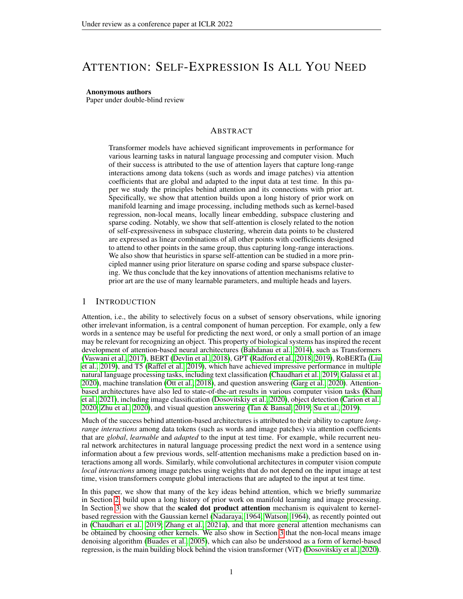# ATTENTION: SELF-EXPRESSION IS ALL YOU NEED

# Anonymous authors

Paper under double-blind review

# ABSTRACT

Transformer models have achieved significant improvements in performance for various learning tasks in natural language processing and computer vision. Much of their success is attributed to the use of attention layers that capture long-range interactions among data tokens (such as words and image patches) via attention coefficients that are global and adapted to the input data at test time. In this paper we study the principles behind attention and its connections with prior art. Specifically, we show that attention builds upon a long history of prior work on manifold learning and image processing, including methods such as kernel-based regression, non-local means, locally linear embedding, subspace clustering and sparse coding. Notably, we show that self-attention is closely related to the notion of self-expressiveness in subspace clustering, wherein data points to be clustered are expressed as linear combinations of all other points with coefficients designed to attend to other points in the same group, thus capturing long-range interactions. We also show that heuristics in sparse self-attention can be studied in a more principled manner using prior literature on sparse coding and sparse subspace clustering. We thus conclude that the key innovations of attention mechanisms relative to prior art are the use of many learnable parameters, and multiple heads and layers.

# 1 INTRODUCTION

Attention, i.e., the ability to selectively focus on a subset of sensory observations, while ignoring other irrelevant information, is a central component of human perception. For example, only a few words in a sentence may be useful for predicting the next word, or only a small portion of an image may be relevant for recognizing an object. This property of biological systems has inspired the recent development of attention-based neural architectures [\(Bahdanau et al., 2014\)](#page-9-0), such as Transformers [\(Vaswani et al., 2017\)](#page-10-0), BERT [\(Devlin et al., 2018\)](#page-9-1), GPT [\(Radford et al., 2018;](#page-10-1) [2019\)](#page-10-2), RoBERTa [\(Liu](#page-10-3) [et al., 2019\)](#page-10-3), and T5 [\(Raffel et al., 2019\)](#page-10-4), which have achieved impressive performance in multiple natural language processing tasks, including text classification [\(Chaudhari et al., 2019;](#page-9-2) [Galassi et al.,](#page-9-3) [2020\)](#page-9-3), machine translation [\(Ott et al., 2018\)](#page-10-5), and question answering [\(Garg et al., 2020\)](#page-9-4). Attentionbased architectures have also led to state-of-the-art results in various computer vision tasks [\(Khan](#page-9-5) [et al., 2021\)](#page-9-5), including image classification [\(Dosovitskiy et al., 2020\)](#page-9-6), object detection [\(Carion et al.,](#page-9-7) [2020;](#page-9-7) [Zhu et al., 2020\)](#page-11-0), and visual question answering [\(Tan & Bansal, 2019;](#page-10-6) [Su et al., 2019\)](#page-10-7).

Much of the success behind attention-based architectures is attributed to their ability to capture *longrange interactions* among data tokens (such as words and image patches) via attention coefficients that are *global*, *learnable* and *adapted* to the input at test time. For example, while recurrent neural network architectures in natural language processing predict the next word in a sentence using information about a few previous words, self-attention mechanisms make a prediction based on interactions among all words. Similarly, while convolutional architectures in computer vision compute *local interactions* among image patches using weights that do not depend on the input image at test time, vision transformers compute global interactions that are adapted to the input at test time.

In this paper, we show that many of the key ideas behind attention, which we briefly summarize in Section [2,](#page-1-0) build upon a long history of prior work on manifold learning and image processing. In Section [3](#page-3-0) we show that the **scaled dot product attention** mechanism is equivalent to kernelbased regression with the Gaussian kernel [\(Nadaraya, 1964;](#page-10-8) [Watson, 1964\)](#page-10-9), as recently pointed out in [\(Chaudhari et al., 2019;](#page-9-2) [Zhang et al., 2021a\)](#page-11-1), and that more general attention mechanisms can be obtained by choosing other kernels. We also show in Section [3](#page-3-0) that the non-local means image denoising algorithm [\(Buades et al., 2005\)](#page-9-8), which can also be understood as a form of kernel-based regression, is the main building block behind the vision transformer (ViT) [\(Dosovitskiy et al., 2020\)](#page-9-6).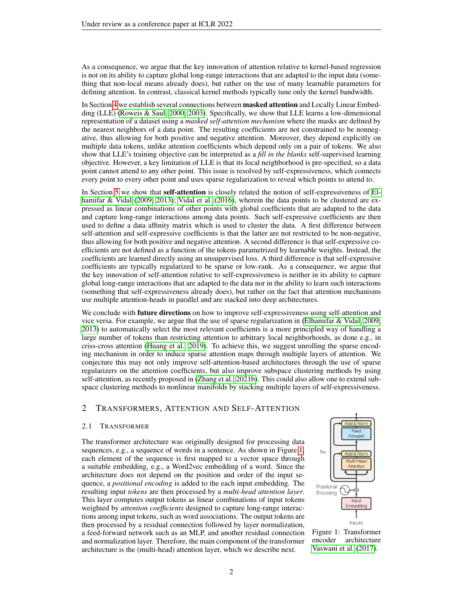As a consequence, we argue that the key innovation of attention relative to kernel-based regression is not on its ability to capture global long-range interactions that are adapted to the input data (something that non-local means already does), but rather on the use of many learnable parameters for defining attention. In contrast, classical kernel methods typically tune only the kernel bandwidth.

In Section [4](#page-5-0) we establish several connections between **masked attention** and Locally Linear Embedding (LLE) [\(Roweis & Saul, 2000;](#page-10-10) [2003\)](#page-10-11). Specifically, we show that LLE learns a low-dimensional representation of a dataset using a *masked self-attention mechanism* where the masks are defined by the nearest neighbors of a data point. The resulting coefficients are not constrained to be nonnegative, thus allowing for both positive and negative attention. Moreover, they depend explicitly on multiple data tokens, unlike attention coefficients which depend only on a pair of tokens. We also show that LLE's training objective can be interpreted as a *fill in the blanks* self-supervised learning objective. However, a key limitation of LLE is that its local neighborhood is pre-specified, so a data point cannot attend to any other point. This issue is resolved by self-expressiveness, which connects every point to every other point and uses sparse regularization to reveal which points to attend to.

In Section [5](#page-6-0) we show that **self-attention** is closely related the notion of self-expressiveness of [El](#page-9-9)[hamifar & Vidal](#page-9-9) [\(2009;](#page-9-9) [2013\)](#page-9-10); [Vidal et al.](#page-10-12) [\(2016\)](#page-10-12), wherein the data points to be clustered are expressed as linear combinations of other points with global coefficients that are adapted to the data and capture long-range interactions among data points. Such self-expressive coefficients are then used to define a data affinity matrix which is used to cluster the data. A first difference between self-attention and self-expressive coefficients is that the latter are not restricted to be non-negative, thus allowing for both positive and negative attention. A second difference is that self-expressive coefficients are not defined as a function of the tokens parametrized by learnable weights. Instead, the coefficients are learned directly using an unsupervised loss. A third difference is that self-expressive coefficients are typically regularized to be sparse or low-rank. As a consequence, we argue that the key innovation of self-attention relative to self-expressiveness is neither in its ability to capture global long-range interactions that are adapted to the data nor in the ability to learn such interactions (something that self-expressiveness already does), but rather on the fact that attention mechanisms use multiple attention-heads in parallel and are stacked into deep architectures.

We conclude with **future directions** on how to improve self-expressiveness using self-attention and vice versa. For example, we argue that the use of sparse regularization in [\(Elhamifar & Vidal, 2009;](#page-9-9) [2013\)](#page-9-10) to automatically select the most relevant coefficients is a more principled way of handling a large number of tokens than restricting attention to arbitrary local neighborhoods, as done e.g., in criss-cross attention [\(Huang et al., 2019\)](#page-9-11). To achieve this, we suggest unrolling the sparse encoding mechanism in order to induce sparse attention maps through multiple layers of attention. We conjecture this may not only improve self-attention-based architectures through the use of sparse regularizers on the attention coefficients, but also improve subspace clustering methods by using self-attention, as recently proposed in [\(Zhang et al., 2021b\)](#page-11-2). This could also allow one to extend subspace clustering methods to nonlinear manifolds by stacking multiple layers of self-expressiveness.

# <span id="page-1-0"></span>2 TRANSFORMERS, ATTENTION AND SELF-ATTENTION

### 2.1 TRANSFORMER

The transformer architecture was originally designed for processing data sequences, e.g., a sequence of words in a sentence. As shown in Figure [1,](#page-1-1) each element of the sequence is first mapped to a vector space through a suitable embedding, e.g., a Word2vec embedding of a word. Since the architecture does not depend on the position and order of the input sequence, a *positional encoding* is added to the each input embedding. The resulting input *tokens* are then processed by a *multi-head attention layer*. This layer computes output tokens as linear combinations of input tokens weighted by *attention coefficients* designed to capture long-range interactions among input tokens, such as word associations. The output tokens are then processed by a residual connection followed by layer normalization, a feed-forward network such as an MLP, and another residual connection and normalization layer. Therefore, the main component of the transformer architecture is the (multi-head) attention layer, which we describe next.



<span id="page-1-1"></span>Figure 1: Transformer encoder architecture [Vaswani et al.](#page-10-0) [\(2017\)](#page-10-0).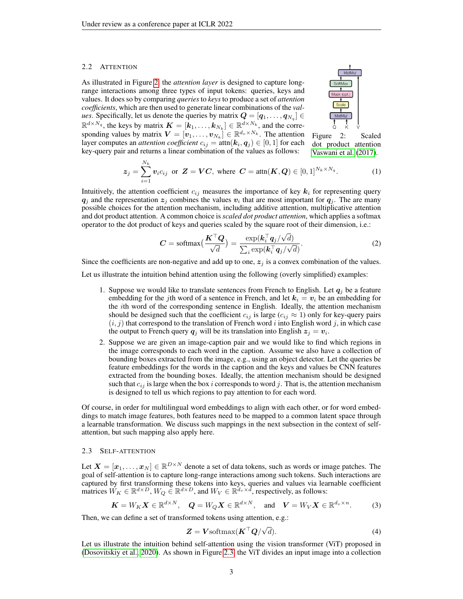#### 2.2 ATTENTION

As illustrated in Figure [2,](#page-2-0) the *attention layer* is designed to capture longrange interactions among three types of input tokens: queries, keys and values. It does so by comparing *queries* to *keys* to produce a set of *attention coefficients*, which are then used to generate linear combinations of the *values.* Specifically, let us denote the queries by matrix  $\boldsymbol{Q} = [\boldsymbol{q}_1, \dots, \boldsymbol{q}_{N_q}] \in$  $\mathbb{R}^{d \times N_q}$ , the keys by matrix  $\mathbf{K} = [\mathbf{k}_1, \dots, \mathbf{k}_{N_k}] \in \mathbb{R}^{d \times N_k}$ , and the corresponding values by matrix  $\boldsymbol{V} = [\boldsymbol{v}_1, \dots, \boldsymbol{v}_{N_k}] \in \mathbb{R}^{d_v \times N_k}$ . The attention layer computes an *attention coefficient*  $c_{ij} = \text{attn}(\boldsymbol{k}_i, \boldsymbol{q}_j) \in [0,1]$  *for each* key-query pair and returns a linear combination of the values as follows:



<span id="page-2-0"></span>Figure 2: Scaled dot product attention [Vaswani et al.](#page-10-0) [\(2017\)](#page-10-0).

$$
\mathbf{z}_j = \sum_{i=1}^{N_k} \mathbf{v}_i c_{ij} \text{ or } \mathbf{Z} = \mathbf{V}\mathbf{C}, \text{ where } \mathbf{C} = \text{attn}(\mathbf{K}, \mathbf{Q}) \in [0, 1]^{N_k \times N_q}.
$$
 (1)

Intuitively, the attention coefficient  $c_{ij}$  measures the importance of key  $k_i$  for representing query  $q_j$  and the representation  $z_j$  combines the values  $v_i$  that are most important for  $q_j$ . The are many possible choices for the attention mechanism, including additive attention, multiplicative attention and dot product attention. A common choice is *scaled dot product attention*, which applies a softmax operator to the dot product of keys and queries scaled by the square root of their dimension, i.e.:

$$
C = \text{softmax}\Big(\frac{\boldsymbol{K}^{\top}\boldsymbol{Q}}{\sqrt{d}}\Big) = \frac{\exp(\boldsymbol{k}_i^{\top}\boldsymbol{q}_j/\sqrt{d})}{\sum_i \exp(\boldsymbol{k}_i^{\top}\boldsymbol{q}_j/\sqrt{d})}.
$$
 (2)

Since the coefficients are non-negative and add up to one,  $z_j$  is a convex combination of the values.

Let us illustrate the intuition behind attention using the following (overly simplified) examples:

- 1. Suppose we would like to translate sentences from French to English. Let  $q_j$  be a feature embedding for the jth word of a sentence in French, and let  $k_i = v_i$  be an embedding for the ith word of the corresponding sentence in English. Ideally, the attention mechanism should be designed such that the coefficient  $c_{ij}$  is large ( $c_{ij} \approx 1$ ) only for key-query pairs  $(i, j)$  that correspond to the translation of French word i into English word j, in which case the output to French query  $q_j$  will be its translation into English  $z_j = v_i$ .
- 2. Suppose we are given an image-caption pair and we would like to find which regions in the image corresponds to each word in the caption. Assume we also have a collection of bounding boxes extracted from the image, e.g., using an object detector. Let the queries be feature embeddings for the words in the caption and the keys and values be CNN features extracted from the bounding boxes. Ideally, the attention mechanism should be designed such that  $c_{ij}$  is large when the box i corresponds to word j. That is, the attention mechanism is designed to tell us which regions to pay attention to for each word.

Of course, in order for multilingual word embeddings to align with each other, or for word embeddings to match image features, both features need to be mapped to a common latent space through a learnable transformation. We discuss such mappings in the next subsection in the context of selfattention, but such mapping also apply here.

# 2.3 SELF-ATTENTION

Let  $\bm{X}=[\bm{x}_1,\ldots,\bm{x}_N]\in\mathbb{R}^{D\times N}$  denote a set of data tokens, such as words or image patches. The goal of self-attention is to capture long-range interactions among such tokens. Such interactions are captured by first transforming these tokens into keys, queries and values via learnable coefficient matrices  $\check{W}_K \in \mathbb{R}^{d \times D}$ ,  $W_Q \in \mathbb{R}^{d \times D}$ , and  $W_V \in \mathbb{R}^{d_v \times d}$ , respectively, as follows:

$$
\boldsymbol{K} = W_K \boldsymbol{X} \in \mathbb{R}^{d \times N}, \quad \boldsymbol{Q} = W_Q \boldsymbol{X} \in \mathbb{R}^{d \times N}, \quad \text{and} \quad \boldsymbol{V} = W_V \boldsymbol{X} \in \mathbb{R}^{d_v \times n}.
$$
 (3)

Then, we can define a set of transformed tokens using attention, e.g.:

<span id="page-2-1"></span>
$$
Z = V \text{softmax}(K^{\top} Q / \sqrt{d}). \tag{4}
$$

Let us illustrate the intuition behind self-attention using the vision transformer (ViT) proposed in [\(Dosovitskiy et al., 2020\)](#page-9-6). As shown in Figure [2.3,](#page-2-1) the ViT divides an input image into a collection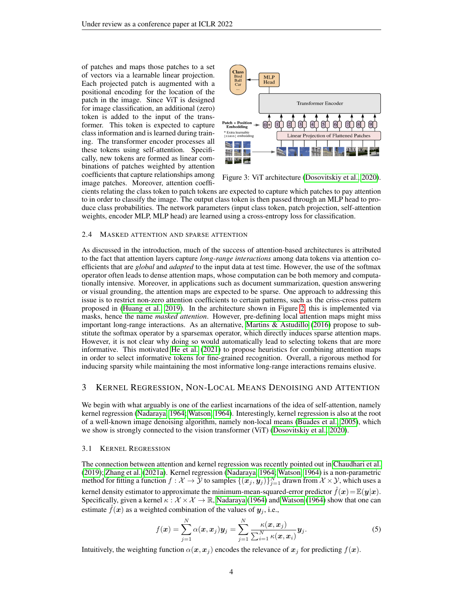of patches and maps those patches to a set of vectors via a learnable linear projection. Each projected patch is augmented with a positional encoding for the location of the patch in the image. Since ViT is designed for image classification, an additional (zero) token is added to the input of the transformer. This token is expected to capture class information and is learned during training. The transformer encoder processes all these tokens using self-attention. Specifically, new tokens are formed as linear combinations of patches weighted by attention coefficients that capture relationships among image patches. Moreover, attention coeffi-



Figure 3: ViT architecture [\(Dosovitskiy et al., 2020\)](#page-9-6).

cients relating the class token to patch tokens are expected to capture which patches to pay attention to in order to classify the image. The output class token is then passed through an MLP head to produce class probabilities. The network parameters (input class token, patch projection, self-attention weights, encoder MLP, MLP head) are learned using a cross-entropy loss for classification.

#### 2.4 MASKED ATTENTION AND SPARSE ATTENTION

As discussed in the introduction, much of the success of attention-based architectures is attributed to the fact that attention layers capture *long-range interactions* among data tokens via attention coefficients that are *global* and *adapted* to the input data at test time. However, the use of the softmax operator often leads to dense attention maps, whose computation can be both memory and computationally intensive. Moreover, in applications such as document summarization, question answering or visual grounding, the attention maps are expected to be sparse. One approach to addressing this issue is to restrict non-zero attention coefficients to certain patterns, such as the criss-cross pattern proposed in [\(Huang et al., 2019\)](#page-9-11). In the architecture shown in Figure [2,](#page-2-0) this is implemented via masks, hence the name *masked attention*. However, pre-defining local attention maps might miss important long-range interactions. As an alternative, [Martins & Astudillo](#page-10-13) [\(2016\)](#page-10-13) propose to substitute the softmax operator by a sparsemax operator, which directly induces sparse attention maps. However, it is not clear why doing so would automatically lead to selecting tokens that are more informative. This motivated [He et al.](#page-9-12) [\(2021\)](#page-9-12) to propose heuristics for combining attention maps in order to select informative tokens for fine-grained recognition. Overall, a rigorous method for inducing sparsity while maintaining the most informative long-range interactions remains elusive.

# <span id="page-3-0"></span>3 KERNEL REGRESSION, NON-LOCAL MEANS DENOISING AND ATTENTION

We begin with what arguably is one of the earliest incarnations of the idea of self-attention, namely kernel regression [\(Nadaraya, 1964;](#page-10-8) [Watson, 1964\)](#page-10-9). Interestingly, kernel regression is also at the root of a well-known image denoising algorithm, namely non-local means [\(Buades et al., 2005\)](#page-9-8), which we show is strongly connected to the vision transformer (ViT) [\(Dosovitskiy et al., 2020\)](#page-9-6).

### 3.1 KERNEL REGRESSION

The connection between attention and kernel regression was recently pointed out in [Chaudhari et al.](#page-9-2) [\(2019\)](#page-9-2); [Zhang et al.](#page-11-1) [\(2021a\)](#page-11-1). Kernel regression [\(Nadaraya, 1964;](#page-10-8) [Watson, 1964\)](#page-10-9) is a non-parametric method for fitting a function  $f:\mathcal{X}\to\overline{\mathcal{Y}}$  to samples  $\{(\bm{x}_j, \bm{y}_j)\}_{j=1}^N$  drawn from  $\mathcal{X}\times\mathcal{Y}$ , which uses a kernel density estimator to approximate the minimum-mean-squared-error predictor  $\hat{f}(x)=E(y|x)$ . Specifically, given a kernel  $\kappa : \mathcal{X} \times \mathcal{X} \to \mathbb{R}$ , [Nadaraya](#page-10-8) [\(1964\)](#page-10-9) and [Watson](#page-10-9) (1964) show that one can estimate  $f(x)$  as a weighted combination of the values of  $y_j$ , i.e.,

<span id="page-3-1"></span>
$$
f(\boldsymbol{x}) = \sum_{j=1}^{N} \alpha(\boldsymbol{x}, \boldsymbol{x}_j) \boldsymbol{y}_j = \sum_{j=1}^{N} \frac{\kappa(\boldsymbol{x}, \boldsymbol{x}_j)}{\sum_{i=1}^{N} \kappa(\boldsymbol{x}, \boldsymbol{x}_i)} \boldsymbol{y}_j.
$$
(5)

Intuitively, the weighting function  $\alpha(x, x_j)$  encodes the relevance of  $x_j$  for predicting  $f(x)$ .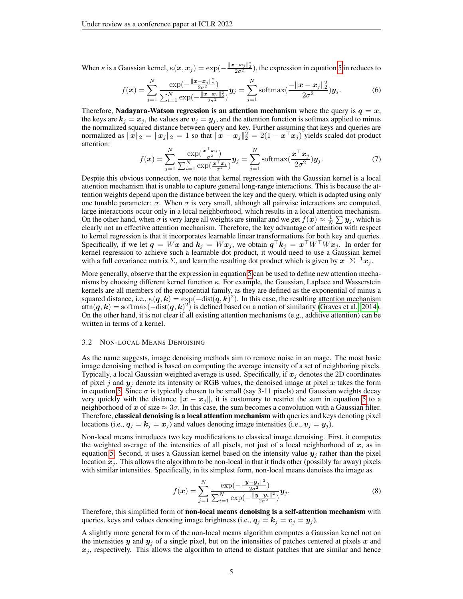When  $\kappa$  is a Gaussian kernel,  $\kappa(x, x_j) = \exp(-\frac{\|x-x_j\|_2^2}{2\sigma^2})$ , the expression in equation [5](#page-3-1) in reduces to

$$
f(\mathbf{x}) = \sum_{j=1}^{N} \frac{\exp(-\frac{\|\mathbf{x} - \mathbf{x}_j\|_2^2}{2\sigma^2})}{\sum_{i=1}^{N} \exp(-\frac{\|\mathbf{x} - \mathbf{x}_i\|_2^2}{2\sigma^2})} \mathbf{y}_j = \sum_{j=1}^{N} \text{softmax}(\frac{-\|\mathbf{x} - \mathbf{x}_j\|_2^2}{2\sigma^2}) \mathbf{y}_j.
$$
(6)

Therefore, Nadayara-Watson regression is an attention mechanism where the query is  $q = x$ , the keys are  $k_j = x_j$ , the values are  $v_j = y_j$ , and the attention function is softmax applied to minus the normalized squared distance between query and key. Further assuming that keys and queries are normalized as  $\|\hat{x}\|_2 = \|x_j\|_2 = 1$  so that  $\|\hat{x} - x_j\|_2^2 = 2(1 - x^{\top}x_j)$  yields scaled dot product attention:

$$
f(\boldsymbol{x}) = \sum_{j=1}^{N} \frac{\exp(\frac{\boldsymbol{x}^{\top} \boldsymbol{x}_{j}}{\sigma^{2}})}{\sum_{i=1}^{N} \exp(\frac{\boldsymbol{x}^{\top} \boldsymbol{x}_{i}}{\sigma^{2}})} \boldsymbol{y}_{j} = \sum_{j=1}^{N} \operatorname{softmax}(\frac{\boldsymbol{x}^{\top} \boldsymbol{x}_{j}}{2\sigma^{2}}) \boldsymbol{y}_{j}.
$$
 (7)

Despite this obvious connection, we note that kernel regression with the Gaussian kernel is a local attention mechanism that is unable to capture general long-range interactions. This is because the attention weights depend upon the distance between the key and the query, which is adapted using only one tunable parameter:  $\sigma$ . When  $\sigma$  is very small, although all pairwise interactions are computed, large interactions occur only in a local neighborhood, which results in a local attention mechanism. On the other hand, when  $\sigma$  is very large all weights are similar and we get  $f(x) \approx \frac{1}{N} \sum y_j$ , which is clearly not an effective attention mechanism. Therefore, the key advantage of attention with respect to kernel regression is that it incorporates learnable linear transformations for both key and queries. Specifically, if we let  $q = Wx$  and  $k_j = Wx_j$ , we obtain  $q^\top k_j = x^\top W^\top W x_j$ . In order for kernel regression to achieve such a learnable dot product, it would need to use a Gaussian kernel with a full covariance matrix  $\Sigma$ , and learn the resulting dot product which is given by  $x^{\top} \Sigma^{-1} x_j$ .

More generally, observe that the expression in equation [5](#page-3-1) can be used to define new attention mechanisms by choosing different kernel function  $\kappa$ . For example, the Gaussian, Laplace and Wasserstein kernels are all members of the exponential family, as they are defined as the exponential of minus a squared distance, i.e.,  $\kappa(q, k) = \exp(-\text{dist}(q, k)^2)$ . In this case, the resulting attention mechanism  $\text{attn}(q, k) = \text{softmax}(-\text{dist}(q, k)^2)$  is defined based on a notion of similarity [\(Graves et al., 2014\)](#page-9-13). On the other hand, it is not clear if all existing attention mechanisms (e.g., additive attention) can be written in terms of a kernel.

#### 3.2 NON-LOCAL MEANS DENOISING

As the name suggests, image denoising methods aim to remove noise in an mage. The most basic image denoising method is based on computing the average intensity of a set of neighboring pixels. Typically, a local Gaussian weighted average is used. Specifically, if  $x_j$  denotes the 2D coordinates of pixel j and  $y_j$  denote its intensity or RGB values, the denoised image at pixel x takes the form in equation [5.](#page-3-1) Since  $\sigma$  is typically chosen to be small (say 3-11 pixels) and Gaussian weights decay very quickly with the distance  $||x - x_j||$ , it is customary to restrict the sum in equation [5](#page-3-1) to a neighborhood of x of size  $\approx 3\sigma$ . In this case, the sum becomes a convolution with a Gaussian filter. Therefore, classical denoising is a local attention mechanism with queries and keys denoting pixel locations (i.e.,  $q_j = k_j = x_j$ ) and values denoting image intensities (i.e.,  $v_j = y_j$ ).

Non-local means introduces two key modifications to classical image denoising. First, it computes the weighted average of the intensities of all pixels, not just of a local neighborhood of  $x$ , as in equation [5.](#page-3-1) Second, it uses a Gaussian kernel based on the intensity value  $y_i$  rather than the pixel location  $x_j$ . This allows the algorithm to be non-local in that it finds other (possibly far away) pixels with similar intensities. Specifically, in its simplest form, non-local means denoises the image as

$$
f(\boldsymbol{x}) = \sum_{j=1}^{N} \frac{\exp(-\frac{\|\boldsymbol{y} - \boldsymbol{y}_j\|^2}{2\sigma^2})}{\sum_{i=1}^{N} \exp(-\frac{\|\boldsymbol{y} - \boldsymbol{y}_i\|^2}{2\sigma^2})} \boldsymbol{y}_j.
$$
(8)

Therefore, this simplified form of non-local means denoising is a self-attention mechanism with queries, keys and values denoting image brightness (i.e.,  $q_i = k_j = v_j = y_j$ ).

A slightly more general form of the non-local means algorithm computes a Gaussian kernel not on the intensities y and  $y_i$  of a single pixel, but on the intensities of patches centered at pixels x and  $x_j$ , respectively. This allows the algorithm to attend to distant patches that are similar and hence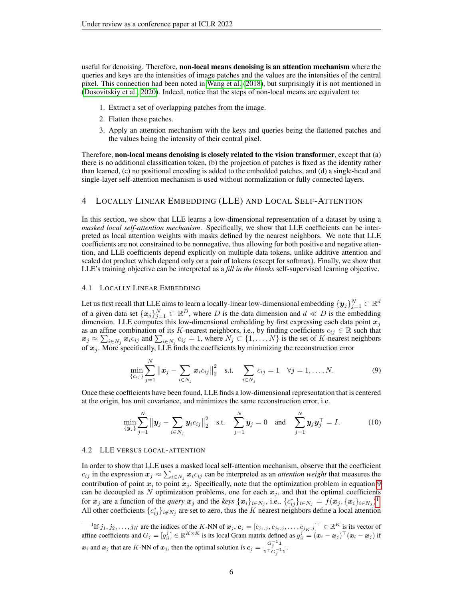useful for denoising. Therefore, non-local means denoising is an attention mechanism where the queries and keys are the intensities of image patches and the values are the intensities of the central pixel. This connection had been noted in [Wang et al.](#page-10-14) [\(2018\)](#page-10-14), but surprisingly it is not mentioned in [\(Dosovitskiy et al., 2020\)](#page-9-6). Indeed, notice that the steps of non-local means are equivalent to:

- 1. Extract a set of overlapping patches from the image.
- 2. Flatten these patches.
- 3. Apply an attention mechanism with the keys and queries being the flattened patches and the values being the intensity of their central pixel.

Therefore, non-local means denoising is closely related to the vision transformer, except that (a) there is no additional classification token, (b) the projection of patches is fixed as the identity rather than learned, (c) no positional encoding is added to the embedded patches, and (d) a single-head and single-layer self-attention mechanism is used without normalization or fully connected layers.

# <span id="page-5-0"></span>4 LOCALLY LINEAR EMBEDDING (LLE) AND LOCAL SELF-ATTENTION

In this section, we show that LLE learns a low-dimensional representation of a dataset by using a *masked local self-attention mechanism*. Specifically, we show that LLE coefficients can be interpreted as local attention weights with masks defined by the nearest neighbors. We note that LLE coefficients are not constrained to be nonnegative, thus allowing for both positive and negative attention, and LLE coefficients depend explicitly on multiple data tokens, unlike additive attention and scaled dot product which depend only on a pair of tokens (except for softmax). Finally, we show that LLE's training objective can be interpreted as a *fill in the blanks* self-supervised learning objective.

# 4.1 LOCALLY LINEAR EMBEDDING

Let us first recall that LLE aims to learn a locally-linear low-dimensional embedding  $\{y_j\}_{j=1}^N\subset\mathbb{R}^d$ of a given data set  $\{x_j\}_{j=1}^N \subset \mathbb{R}^D$ , where D is the data dimension and  $d \ll D$  is the embedding dimension. LLE computes this low-dimensional embedding by first expressing each data point  $x_j$ as an affine combination of its K-nearest neighbors, i.e., by finding coefficients  $c_{ij} \in \mathbb{R}$  such that  $x_j \approx \sum_{i \in N_j} x_i c_{ij}$  and  $\sum_{i \in N_j} c_{ij} = 1$ , where  $N_j \subset \{1, ..., N\}$  is the set of K-nearest neighbors of  $x_j$ . More specifically, LLE finds the coefficients by minimizing the reconstruction error

<span id="page-5-1"></span>
$$
\min_{\{c_{ij}\}} \sum_{j=1}^N ||\boldsymbol{x}_j - \sum_{i \in N_j} \boldsymbol{x}_i c_{ij}||_2^2 \quad \text{s.t.} \quad \sum_{i \in N_j} c_{ij} = 1 \quad \forall j = 1, ..., N. \tag{9}
$$

Once these coefficients have been found, LLE finds a low-dimensional representation that is centered at the origin, has unit covariance, and minimizes the same reconstruction error, i.e.

<span id="page-5-3"></span>
$$
\min_{\{\mathbf{y}_j\}} \sum_{j=1}^N \|\mathbf{y}_j - \sum_{i \in N_j} \mathbf{y}_i c_{ij}\|_2^2 \quad \text{s.t.} \quad \sum_{j=1}^N \mathbf{y}_j = 0 \quad \text{and} \quad \sum_{j=1}^N \mathbf{y}_j \mathbf{y}_j^\top = I. \tag{10}
$$

#### 4.2 LLE VERSUS LOCAL-ATTENTION

In order to show that LLE uses a masked local self-attention mechanism, observe that the coefficient  $c_{ij}$  in the expression  $x_j \approx \sum_{i \in N_j} x_i c_{ij}$  can be interpreted as an *attention weight* that measures the contribution of point  $x_i$  to point  $x_j$ . Specifically, note that the optimization problem in equation [9](#page-5-1) can be decoupled as N optimization problems, one for each  $x_j$ , and that the optimal coefficients for  $x_j$  are a function of the *query*  $x_j$  and the *keys*  $\{x_i\}_{i\in N_j}$ , i.e.,  $\{c_{ij}^*\}_{i\in N_j} = f(x_j, \{x_i\}_{i\in N_j})^1$  $\{c_{ij}^*\}_{i\in N_j} = f(x_j, \{x_i\}_{i\in N_j})^1$ . All other coefficients  $\{c_{ij}^*\}_{i \notin N_j}$  are set to zero, thus the K nearest neighbors define a local attention

<span id="page-5-2"></span><sup>&</sup>lt;sup>1</sup>If  $j_1, j_2, \ldots, j_K$  are the indices of the K-NN of  $\mathbf{x}_j$ ,  $\mathbf{c}_j = [c_{j_1,j}, c_{j_2,j}, \ldots, c_{j_K,j}]^\top \in \mathbb{R}^K$  is its vector of affine coefficients and  $G_j = [g_{il}^j] \in \mathbb{R}^{K \times K}$  is its local Gram matrix defined as  $g_{il}^j = (\boldsymbol{x}_i - \boldsymbol{x}_j)^\top (\boldsymbol{x}_l - \boldsymbol{x}_j)$  if  $x_i$  and  $x_j$  that are K-NN of  $x_j$ , then the optimal solution is  $c_j = \frac{G_j^{-1}1}{1.7 \cdot 10^{11}}$  $\overline{\mathbf{1}^\top G_j^{-1} \mathbf{1}}$ .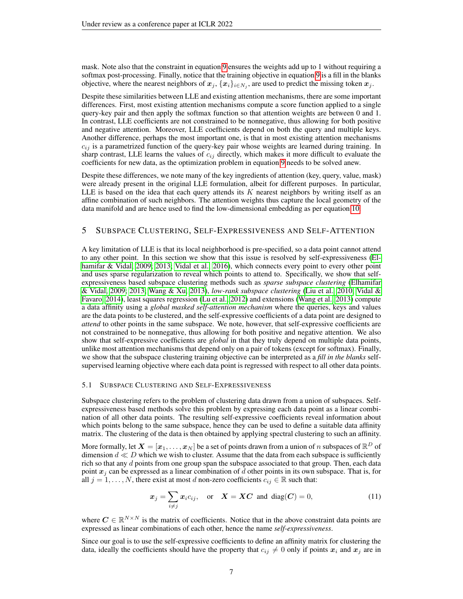mask. Note also that the constraint in equation [9](#page-5-1) ensures the weights add up to 1 without requiring a softmax post-processing. Finally, notice that the training objective in equation [9](#page-5-1) is a fill in the blanks objective, where the nearest neighbors of  $x_j, \{x_i\}_{i\in N_j}$ , are used to predict the missing token  $x_j$ .

Despite these similarities between LLE and existing attention mechanisms, there are some important differences. First, most existing attention mechanisms compute a score function applied to a single query-key pair and then apply the softmax function so that attention weights are between 0 and 1. In contrast, LLE coefficients are not constrained to be nonnegative, thus allowing for both positive and negative attention. Moreover, LLE coefficients depend on both the query and multiple keys. Another difference, perhaps the most important one, is that in most existing attention mechanisms  $c_{ij}$  is a parametrized function of the query-key pair whose weights are learned during training. In sharp contrast, LLE learns the values of  $c_{ij}$  directly, which makes it more difficult to evaluate the coefficients for new data, as the optimization problem in equation [9](#page-5-1) needs to be solved anew.

Despite these differences, we note many of the key ingredients of attention (key, query, value, mask) were already present in the original LLE formulation, albeit for different purposes. In particular, LLE is based on the idea that each query attends its  $K$  nearest neighbors by writing itself as an affine combination of such neighbors. The attention weights thus capture the local geometry of the data manifold and are hence used to find the low-dimensional embedding as per equation [10.](#page-5-3)

# <span id="page-6-0"></span>5 SUBSPACE CLUSTERING, SELF-EXPRESSIVENESS AND SELF-ATTENTION

A key limitation of LLE is that its local neighborhood is pre-specified, so a data point cannot attend to any other point. In this section we show that this issue is resolved by self-expressiveness [\(El](#page-9-9)[hamifar & Vidal, 2009;](#page-9-9) [2013;](#page-9-10) [Vidal et al., 2016\)](#page-10-12), which connects every point to every other point and uses sparse regularization to reveal which points to attend to. Specifically, we show that selfexpressiveness based subspace clustering methods such as *sparse subspace clustering* [\(Elhamifar](#page-9-9) [& Vidal, 2009;](#page-9-9) [2013;](#page-9-10) [Wang & Xu, 2013\)](#page-10-15), *low-rank subspace clustering* [\(Liu et al., 2010;](#page-10-16) [Vidal &](#page-10-17) [Favaro, 2014\)](#page-10-17), least squares regression [\(Lu et al., 2012\)](#page-10-18) and extensions [\(Wang et al., 2013\)](#page-10-19) compute a data affinity using a *global masked self-attention mechanism* where the queries, keys and values are the data points to be clustered, and the self-expressive coefficients of a data point are designed to *attend* to other points in the same subspace. We note, however, that self-expressive coefficients are not constrained to be nonnegative, thus allowing for both positive and negative attention. We also show that self-expressive coefficients are *global* in that they truly depend on multiple data points, unlike most attention mechanisms that depend only on a pair of tokens (except for softmax). Finally, we show that the subspace clustering training objective can be interpreted as a *fill in the blanks* selfsupervised learning objective where each data point is regressed with respect to all other data points.

### 5.1 SUBSPACE CLUSTERING AND SELF-EXPRESSIVENESS

Subspace clustering refers to the problem of clustering data drawn from a union of subspaces. Selfexpressiveness based methods solve this problem by expressing each data point as a linear combination of all other data points. The resulting self-expressive coefficients reveal information about which points belong to the same subspace, hence they can be used to define a suitable data affinity matrix. The clustering of the data is then obtained by applying spectral clustering to such an affinity.

More formally, let  $\bm{X}=[\bm{x}_1,\ldots,\bm{x}_N]$  be a set of points drawn from a union of  $n$  subspaces of  $\mathbb{R}^D$  of dimension  $d \ll D$  which we wish to cluster. Assume that the data from each subspace is sufficiently rich so that any d points from one group span the subspace associated to that group. Then, each data point  $x_j$  can be expressed as a linear combination of d other points in its own subspace. That is, for all  $j = 1, \ldots, N$ , there exist at most d non-zero coefficients  $c_{ij} \in \mathbb{R}$  such that:

<span id="page-6-1"></span>
$$
x_j = \sum_{i \neq j} x_i c_{ij}, \quad \text{or} \quad X = XC \text{ and } \text{diag}(C) = 0,
$$
 (11)

where  $C \in \mathbb{R}^{N \times N}$  is the matrix of coefficients. Notice that in the above constraint data points are expressed as linear combinations of each other, hence the name *self-expressiveness*.

Since our goal is to use the self-expressive coefficients to define an affinity matrix for clustering the data, ideally the coefficients should have the property that  $c_{ij} \neq 0$  only if points  $x_i$  and  $x_j$  are in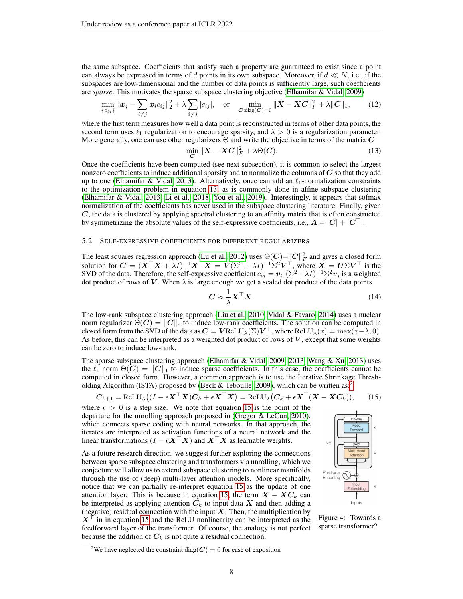the same subspace. Coefficients that satisfy such a property are guaranteed to exist since a point can always be expressed in terms of d points in its own subspace. Moreover, if  $d \ll N$ , i.e., if the subspaces are low-dimensional and the number of data points is sufficiently large, such coefficients are *sparse*. This motivates the sparse subspace clustering objective [\(Elhamifar & Vidal, 2009\)](#page-9-9)

$$
\min_{\{c_{ij}\}} \|x_j - \sum_{i \neq j} x_i c_{ij}\|_2^2 + \lambda \sum_{i \neq j} |c_{ij}|, \text{ or } \min_{\mathbf{C}: \text{diag}(\mathbf{C})=0} \|X - \mathbf{X}\mathbf{C}\|_F^2 + \lambda \|C\|_1, \qquad (12)
$$

where the first term measures how well a data point is reconstructed in terms of other data points, the second term uses  $\ell_1$  regularization to encourage sparsity, and  $\lambda > 0$  is a regularization parameter. More generally, one can use other regularizers  $\Theta$  and write the objective in terms of the matrix  $C$ 

<span id="page-7-0"></span>
$$
\min_{\mathbf{C}} \| \mathbf{X} - \mathbf{X}\mathbf{C} \|^2_F + \lambda \Theta(\mathbf{C}). \tag{13}
$$

Once the coefficients have been computed (see next subsection), it is common to select the largest nonzero coefficients to induce additional sparsity and to normalize the columns of  $C$  so that they add up to one [\(Elhamifar & Vidal, 2013\)](#page-9-10). Alternatively, once can add an  $\ell_1$ -normalization constraints to the optimization problem in equation [13,](#page-7-0) as is commonly done in affine subspace clustering [\(Elhamifar & Vidal, 2013;](#page-9-10) [Li et al., 2018;](#page-9-14) [You et al., 2019\)](#page-11-3). Interestingly, it appears that sofmax normalization of the coefficients has never used in the subspace clustering literature. Finally, given C, the data is clustered by applying spectral clustering to an affinity matrix that is often constructed by symmetrizing the absolute values of the self-expressive coefficients, i.e.,  $A = |C| + |C^*|$ .

# 5.2 SELF-EXPRESSIVE COEFFICIENTS FOR DIFFERENT REGULARIZERS

The least squares regression approach [\(Lu et al., 2012\)](#page-10-18) uses  $\Theta(C) = ||C||_F^2$  and gives a closed form solution for  $\bm{C}=(\bm{X}^\top\bm{X}+\lambda I)^{-1}\bm{X}^\top\bm{X}=\bm{V}(\Sigma^2+\lambda I)^{-1}\Sigma^2\bm{V}^\top,$  where  $\bm{X}=\bm{U}\Sigma\bm{V}^\top$  is the SVD of the data. Therefore, the self-expressive coefficient  $c_{ij} = \mathbf{v}_i^\top (\Sigma^2 + \lambda I)^{-1} \Sigma^2 \mathbf{v}_j$  is a weighted dot product of rows of V. When  $\lambda$  is large enough we get a scaled dot product of the data points

<span id="page-7-3"></span>
$$
C \approx \frac{1}{\lambda} \mathbf{X}^\top \mathbf{X}.
$$
 (14)

The low-rank subspace clustering approach [\(Liu et al., 2010;](#page-10-16) [Vidal & Favaro, 2014\)](#page-10-17) uses a nuclear norm regularizer  $\Theta(C) = ||C||_*$  to induce low-rank coefficients. The solution can be computed in closed form from the SVD of the data as  $\bm{C}=\bm{V}$ ReLU $_\lambda(\Sigma)\bm{V}^\top$ , where ReLU $_\lambda(x)=\max(x-\lambda,0).$ As before, this can be interpreted as a weighted dot product of rows of  $V$ , except that some weights can be zero to induce low-rank.

The sparse subspace clustering approach [\(Elhamifar & Vidal, 2009;](#page-9-9) [2013;](#page-9-10) [Wang & Xu, 2013\)](#page-10-15) uses the  $\ell_1$  norm  $\Theta(C) = ||C||_1$  to induce sparse coefficients. In this case, the coefficients cannot be computed in closed form. However, a common approach is to use the Iterative Shrinkage Thresh-olding Algorithm (ISTA) proposed by [\(Beck & Teboulle, 2009\)](#page-9-15), which can be written as:<sup>[2](#page-7-1)</sup>

<span id="page-7-2"></span>
$$
C_{k+1} = \text{ReLU}_{\lambda}((I - \epsilon \mathbf{X}^{\top} \mathbf{X})C_k + \epsilon \mathbf{X}^{\top} \mathbf{X}) = \text{ReLU}_{\lambda}(C_k + \epsilon \mathbf{X}^{\top} (\mathbf{X} - \mathbf{X}C_k)), \quad (15)
$$

where  $\epsilon > 0$  is a step size. We note that equation [15](#page-7-2) is the point of the departure for the unrolling approach proposed in [\(Gregor & LeCun, 2010\)](#page-9-16), which connects sparse coding with neural networks. In that approach, the iterates are interpreted as activation functions of a neural network and the linear transformations  $(I - \epsilon X^\top X)$  and  $X^\top X$  as learnable weights.

As a future research direction, we suggest further exploring the connections between sparse subspace clustering and transformers via unrolling, which we conjecture will allow us to extend subspace clustering to nonlinear manifolds through the use of (deep) multi-layer attention models. More specifically, notice that we can partially re-interpret equation [15](#page-7-2) as the update of one attention layer. This is because in equation [15,](#page-7-2) the term  $X - XC_k$  can be interpreted as applying attention  $C_k$  to input data  $X$  and then adding a (negative) residual connection with the input  $X$ . Then, the multiplication by  $X^{\top}$  in in equation [15](#page-7-2) and the ReLU nonlinearity can be interpreted as the feedforward layer of the transformer. Of course, the analogy is not perfect because the addition of  $C_k$  is not quite a residual connection.



Figure 4: Towards a sparse transformer?

<span id="page-7-1"></span><sup>&</sup>lt;sup>2</sup>We have neglected the constraint diag( $C$ ) = 0 for ease of exposition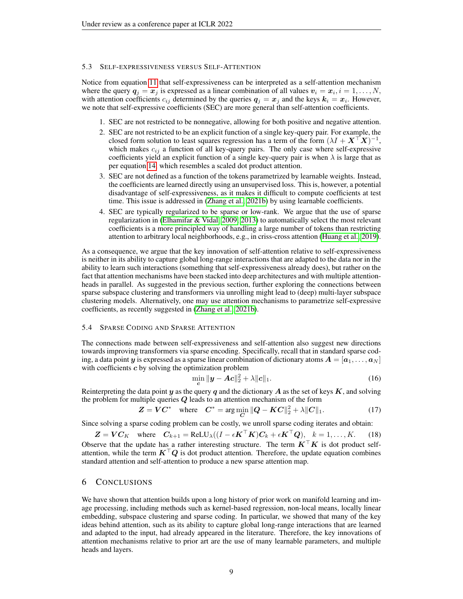#### 5.3 SELF-EXPRESSIVENESS VERSUS SELF-ATTENTION

Notice from equation [11](#page-6-1) that self-expressiveness can be interpreted as a self-attention mechanism where the query  $q_j = x_j$  is expressed as a linear combination of all values  $v_i = x_i, i = 1, \dots, N$ , with attention coefficients  $c_{ij}$  determined by the queries  $q_j = x_j$  and the keys  $k_i = x_i$ . However, we note that self-expressive coefficients (SEC) are more general than self-attention coefficients.

- 1. SEC are not restricted to be nonnegative, allowing for both positive and negative attention.
- 2. SEC are not restricted to be an explicit function of a single key-query pair. For example, the closed form solution to least squares regression has a term of the form  $(\lambda I + X^{\top} X)^{-1}$ , which makes  $c_{ij}$  a function of all key-query pairs. The only case where self-expressive coefficients yield an explicit function of a single key-query pair is when  $\lambda$  is large that as per equation [14,](#page-7-3) which resembles a scaled dot product attention.
- 3. SEC are not defined as a function of the tokens parametrized by learnable weights. Instead, the coefficients are learned directly using an unsupervised loss. This is, however, a potential disadvantage of self-expressiveness, as it makes it difficult to compute coefficients at test time. This issue is addressed in [\(Zhang et al., 2021b\)](#page-11-2) by using learnable coefficients.
- 4. SEC are typically regularized to be sparse or low-rank. We argue that the use of sparse regularization in [\(Elhamifar & Vidal, 2009;](#page-9-9) [2013\)](#page-9-10) to automatically select the most relevant coefficients is a more principled way of handling a large number of tokens than restricting attention to arbitrary local neighborhoods, e.g., in criss-cross attention [\(Huang et al., 2019\)](#page-9-11).

As a consequence, we argue that the key innovation of self-attention relative to self-expressiveness is neither in its ability to capture global long-range interactions that are adapted to the data nor in the ability to learn such interactions (something that self-expressiveness already does), but rather on the fact that attention mechanisms have been stacked into deep architectures and with multiple attentionheads in parallel. As suggested in the previous section, further exploring the connections between sparse subspace clustering and transformers via unrolling might lead to (deep) multi-layer subspace clustering models. Alternatively, one may use attention mechanisms to parametrize self-expressive coefficients, as recently suggested in [\(Zhang et al., 2021b\)](#page-11-2).

#### 5.4 SPARSE CODING AND SPARSE ATTENTION

The connections made between self-expressiveness and self-attention also suggest new directions towards improving transformers via sparse encoding. Specifically, recall that in standard sparse coding, a data point y is expressed as a sparse linear combination of dictionary atoms  $\mathbf{A} = [\mathbf{a}_1, \dots, \mathbf{a}_N]$ with coefficients  $c$  by solving the optimization problem

$$
\min_{\mathbf{c}} \|\mathbf{y} - \mathbf{A}\mathbf{c}\|_2^2 + \lambda \|\mathbf{c}\|_1. \tag{16}
$$

Reinterpreting the data point y as the query q and the dictionary A as the set of keys  $K$ , and solving the problem for multiple queries  $Q$  leads to an attention mechanism of the form

$$
Z = VC^* \quad \text{where} \quad C^* = \arg\min_{C} \|Q - KC\|_2^2 + \lambda \|C\|_1. \tag{17}
$$

Since solving a sparse coding problem can be costly, we unroll sparse coding iterates and obtain:

 $\mathbf{Z} = \mathbf{V} \mathbf{C}_K$  where  $\mathbf{C}_{k+1} = \text{ReLU}_{\lambda}((I - \epsilon \mathbf{K}^{\top} \mathbf{K})\mathbf{C}_k + \epsilon \mathbf{K}^{\top} \mathbf{Q}), k = 1, ..., K.$  (18) Observe that the update has a rather interesting structure. The term  $K^{\top}K$  is dot product selfattention, while the term  $K^{\dagger}Q$  is dot product attention. Therefore, the update equation combines standard attention and self-attention to produce a new sparse attention map.

# 6 CONCLUSIONS

We have shown that attention builds upon a long history of prior work on manifold learning and image processing, including methods such as kernel-based regression, non-local means, locally linear embedding, subspace clustering and sparse coding. In particular, we showed that many of the key ideas behind attention, such as its ability to capture global long-range interactions that are learned and adapted to the input, had already appeared in the literature. Therefore, the key innovations of attention mechanisms relative to prior art are the use of many learnable parameters, and multiple heads and layers.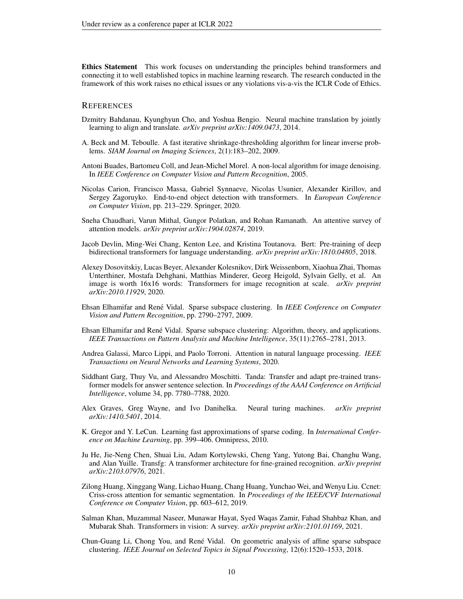Ethics Statement This work focuses on understanding the principles behind transformers and connecting it to well established topics in machine learning research. The research conducted in the framework of this work raises no ethical issues or any violations vis-a-vis the ICLR Code of Ethics.

#### **REFERENCES**

- <span id="page-9-0"></span>Dzmitry Bahdanau, Kyunghyun Cho, and Yoshua Bengio. Neural machine translation by jointly learning to align and translate. *arXiv preprint arXiv:1409.0473*, 2014.
- <span id="page-9-15"></span>A. Beck and M. Teboulle. A fast iterative shrinkage-thresholding algorithm for linear inverse problems. *SIAM Journal on Imaging Sciences*, 2(1):183–202, 2009.
- <span id="page-9-8"></span>Antoni Buades, Bartomeu Coll, and Jean-Michel Morel. A non-local algorithm for image denoising. In *IEEE Conference on Computer Vision and Pattern Recognition*, 2005.
- <span id="page-9-7"></span>Nicolas Carion, Francisco Massa, Gabriel Synnaeve, Nicolas Usunier, Alexander Kirillov, and Sergey Zagoruyko. End-to-end object detection with transformers. In *European Conference on Computer Vision*, pp. 213–229. Springer, 2020.
- <span id="page-9-2"></span>Sneha Chaudhari, Varun Mithal, Gungor Polatkan, and Rohan Ramanath. An attentive survey of attention models. *arXiv preprint arXiv:1904.02874*, 2019.
- <span id="page-9-1"></span>Jacob Devlin, Ming-Wei Chang, Kenton Lee, and Kristina Toutanova. Bert: Pre-training of deep bidirectional transformers for language understanding. *arXiv preprint arXiv:1810.04805*, 2018.
- <span id="page-9-6"></span>Alexey Dosovitskiy, Lucas Beyer, Alexander Kolesnikov, Dirk Weissenborn, Xiaohua Zhai, Thomas Unterthiner, Mostafa Dehghani, Matthias Minderer, Georg Heigold, Sylvain Gelly, et al. An image is worth 16x16 words: Transformers for image recognition at scale. *arXiv preprint arXiv:2010.11929*, 2020.
- <span id="page-9-9"></span>Ehsan Elhamifar and René Vidal. Sparse subspace clustering. In *IEEE Conference on Computer Vision and Pattern Recognition*, pp. 2790–2797, 2009.
- <span id="page-9-10"></span>Ehsan Elhamifar and René Vidal. Sparse subspace clustering: Algorithm, theory, and applications. *IEEE Transactions on Pattern Analysis and Machine Intelligence*, 35(11):2765–2781, 2013.
- <span id="page-9-3"></span>Andrea Galassi, Marco Lippi, and Paolo Torroni. Attention in natural language processing. *IEEE Transactions on Neural Networks and Learning Systems*, 2020.
- <span id="page-9-4"></span>Siddhant Garg, Thuy Vu, and Alessandro Moschitti. Tanda: Transfer and adapt pre-trained transformer models for answer sentence selection. In *Proceedings of the AAAI Conference on Artificial Intelligence*, volume 34, pp. 7780–7788, 2020.
- <span id="page-9-13"></span>Alex Graves, Greg Wayne, and Ivo Danihelka. Neural turing machines. *arXiv preprint arXiv:1410.5401*, 2014.
- <span id="page-9-16"></span>K. Gregor and Y. LeCun. Learning fast approximations of sparse coding. In *International Conference on Machine Learning*, pp. 399–406. Omnipress, 2010.
- <span id="page-9-12"></span>Ju He, Jie-Neng Chen, Shuai Liu, Adam Kortylewski, Cheng Yang, Yutong Bai, Changhu Wang, and Alan Yuille. Transfg: A transformer architecture for fine-grained recognition. *arXiv preprint arXiv:2103.07976*, 2021.
- <span id="page-9-11"></span>Zilong Huang, Xinggang Wang, Lichao Huang, Chang Huang, Yunchao Wei, and Wenyu Liu. Ccnet: Criss-cross attention for semantic segmentation. In *Proceedings of the IEEE/CVF International Conference on Computer Vision*, pp. 603–612, 2019.
- <span id="page-9-5"></span>Salman Khan, Muzammal Naseer, Munawar Hayat, Syed Waqas Zamir, Fahad Shahbaz Khan, and Mubarak Shah. Transformers in vision: A survey. *arXiv preprint arXiv:2101.01169*, 2021.
- <span id="page-9-14"></span>Chun-Guang Li, Chong You, and Rene Vidal. On geometric analysis of affine sparse subspace ´ clustering. *IEEE Journal on Selected Topics in Signal Processing*, 12(6):1520–1533, 2018.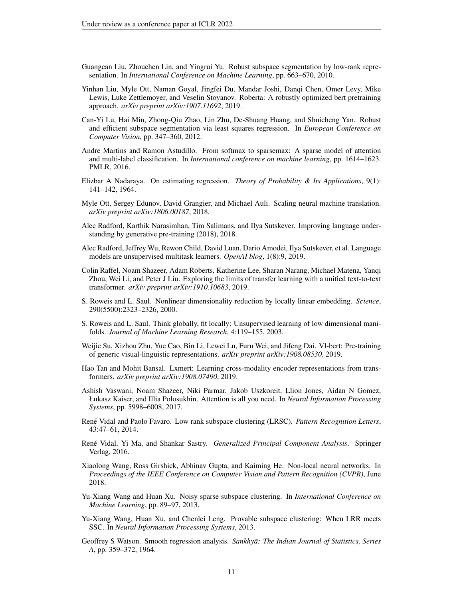- <span id="page-10-16"></span>Guangcan Liu, Zhouchen Lin, and Yingrui Yu. Robust subspace segmentation by low-rank representation. In *International Conference on Machine Learning*, pp. 663–670, 2010.
- <span id="page-10-3"></span>Yinhan Liu, Myle Ott, Naman Goyal, Jingfei Du, Mandar Joshi, Danqi Chen, Omer Levy, Mike Lewis, Luke Zettlemoyer, and Veselin Stoyanov. Roberta: A robustly optimized bert pretraining approach. *arXiv preprint arXiv:1907.11692*, 2019.
- <span id="page-10-18"></span>Can-Yi Lu, Hai Min, Zhong-Qiu Zhao, Lin Zhu, De-Shuang Huang, and Shuicheng Yan. Robust and efficient subspace segmentation via least squares regression. In *European Conference on Computer Vision*, pp. 347–360, 2012.
- <span id="page-10-13"></span>Andre Martins and Ramon Astudillo. From softmax to sparsemax: A sparse model of attention and multi-label classification. In *International conference on machine learning*, pp. 1614–1623. PMLR, 2016.
- <span id="page-10-8"></span>Elizbar A Nadaraya. On estimating regression. *Theory of Probability & Its Applications*, 9(1): 141–142, 1964.
- <span id="page-10-5"></span>Myle Ott, Sergey Edunov, David Grangier, and Michael Auli. Scaling neural machine translation. *arXiv preprint arXiv:1806.00187*, 2018.
- <span id="page-10-1"></span>Alec Radford, Karthik Narasimhan, Tim Salimans, and Ilya Sutskever. Improving language understanding by generative pre-training (2018), 2018.
- <span id="page-10-2"></span>Alec Radford, Jeffrey Wu, Rewon Child, David Luan, Dario Amodei, Ilya Sutskever, et al. Language models are unsupervised multitask learners. *OpenAI blog*, 1(8):9, 2019.
- <span id="page-10-4"></span>Colin Raffel, Noam Shazeer, Adam Roberts, Katherine Lee, Sharan Narang, Michael Matena, Yanqi Zhou, Wei Li, and Peter J Liu. Exploring the limits of transfer learning with a unified text-to-text transformer. *arXiv preprint arXiv:1910.10683*, 2019.
- <span id="page-10-10"></span>S. Roweis and L. Saul. Nonlinear dimensionality reduction by locally linear embedding. *Science*, 290(5500):2323–2326, 2000.
- <span id="page-10-11"></span>S. Roweis and L. Saul. Think globally, fit locally: Unsupervised learning of low dimensional manifolds. *Journal of Machine Learning Research*, 4:119–155, 2003.
- <span id="page-10-7"></span>Weijie Su, Xizhou Zhu, Yue Cao, Bin Li, Lewei Lu, Furu Wei, and Jifeng Dai. Vl-bert: Pre-training of generic visual-linguistic representations. *arXiv preprint arXiv:1908.08530*, 2019.
- <span id="page-10-6"></span>Hao Tan and Mohit Bansal. Lxmert: Learning cross-modality encoder representations from transformers. *arXiv preprint arXiv:1908.07490*, 2019.
- <span id="page-10-0"></span>Ashish Vaswani, Noam Shazeer, Niki Parmar, Jakob Uszkoreit, Llion Jones, Aidan N Gomez, Łukasz Kaiser, and Illia Polosukhin. Attention is all you need. In *Neural Information Processing Systems*, pp. 5998–6008, 2017.
- <span id="page-10-17"></span>René Vidal and Paolo Favaro. Low rank subspace clustering (LRSC). Pattern Recognition Letters, 43:47–61, 2014.
- <span id="page-10-12"></span>Rene Vidal, Yi Ma, and Shankar Sastry. ´ *Generalized Principal Component Analysis*. Springer Verlag, 2016.
- <span id="page-10-14"></span>Xiaolong Wang, Ross Girshick, Abhinav Gupta, and Kaiming He. Non-local neural networks. In *Proceedings of the IEEE Conference on Computer Vision and Pattern Recognition (CVPR)*, June 2018.
- <span id="page-10-15"></span>Yu-Xiang Wang and Huan Xu. Noisy sparse subspace clustering. In *International Conference on Machine Learning*, pp. 89–97, 2013.
- <span id="page-10-19"></span>Yu-Xiang Wang, Huan Xu, and Chenlei Leng. Provable subspace clustering: When LRR meets SSC. In *Neural Information Processing Systems*, 2013.
- <span id="page-10-9"></span>Geoffrey S Watson. Smooth regression analysis. *Sankhyā: The Indian Journal of Statistics, Series A*, pp. 359–372, 1964.